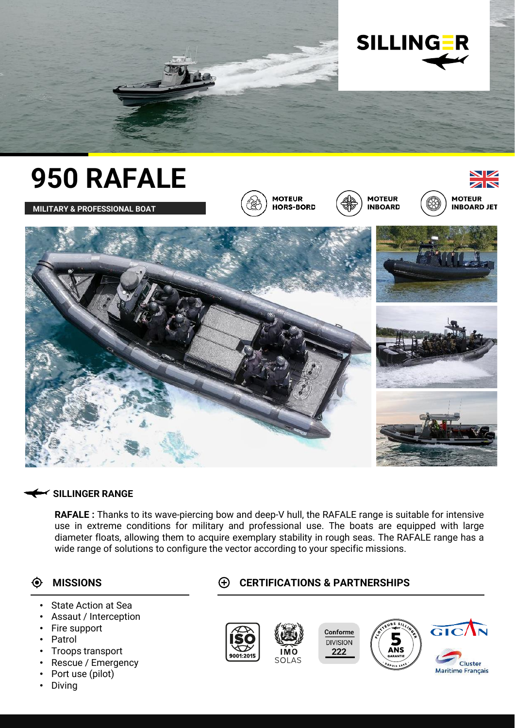











### **SILLINGER RANGE**

**RAFALE :** Thanks to its wave-piercing bow and deep-V hull, the RAFALE range is suitable for intensive use in extreme conditions for military and professional use. The boats are equipped with large diameter floats, allowing them to acquire exemplary stability in rough seas. The RAFALE range has a wide range of solutions to configure the vector according to your specific missions.

### $\bullet$

- State Action at Sea
- Assaut / Interception
- Fire support
- **Patrol**
- Troops transport
- Rescue / Emergency
- Port use (pilot)
- Diving

# **MISSIONS CERTIFICATIONS & PARTNERSHIPS**







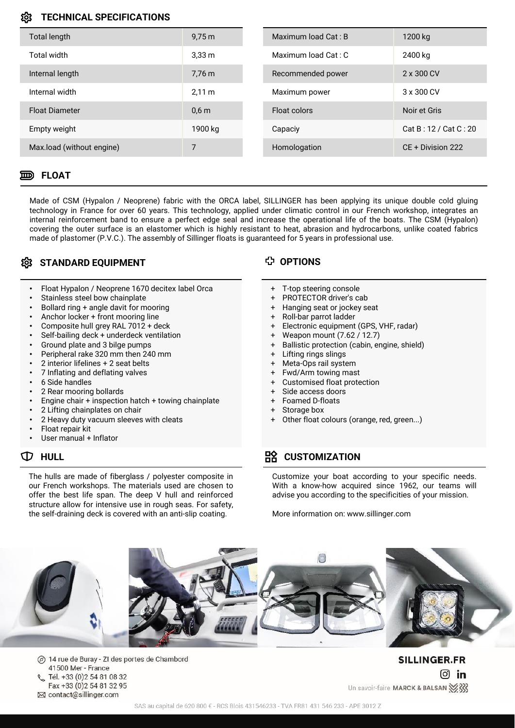### **TECHNICAL SPECIFICATIONS**

| Total length              | $9,75 \,\mathrm{m}$ | Maximum load Cat: B | 1200 kg               |
|---------------------------|---------------------|---------------------|-----------------------|
| Total width               | 3.33 <sub>m</sub>   | Maximum load Cat: C | 2400 kg               |
| Internal length           | 7.76 m              | Recommended power   | 2 x 300 CV            |
| Internal width            | 2.11 m              | Maximum power       | 3 x 300 CV            |
| <b>Float Diameter</b>     | 0.6 <sub>m</sub>    | Float colors        | Noir et Gris          |
| Empty weight              | 1900 kg             | Capaciy             | Cat B: 12 / Cat C: 20 |
| Max.load (without engine) | 7                   | Homologation        | CE + Division 222     |
|                           |                     |                     |                       |

#### **FLOAT**

Made of CSM (Hypalon / Neoprene) fabric with the ORCA label, SILLINGER has been applying its unique double cold gluing technology in France for over 60 years. This technology, applied under climatic control in our French workshop, integrates an internal reinforcement band to ensure a perfect edge seal and increase the operational life of the boats. The CSM (Hypalon) covering the outer surface is an elastomer which is highly resistant to heat, abrasion and hydrocarbons, unlike coated fabrics made of plastomer (P.V.C.). The assembly of Sillinger floats is guaranteed for 5 years in professional use.

## **STANDARD EQUIPMENT OPTIONS**

- Float Hypalon / Neoprene 1670 decitex label Orca
- Stainless steel bow chainplate
- Bollard ring + angle davit for mooring
- Anchor locker + front mooring line
- Composite hull grey RAL 7012 + deck
- Self-bailing deck + underdeck ventilation
- Ground plate and 3 bilge pumps
- Peripheral rake 320 mm then 240 mm
- 2 interior lifelines + 2 seat belts
- 7 Inflating and deflating valves
- 6 Side handles
- 2 Rear mooring bollards
- Engine chair + inspection hatch + towing chainplate
- 2 Lifting chainplates on chair
- 2 Heavy duty vacuum sleeves with cleats
- Float repair kit
- User manual + Inflator

The hulls are made of fiberglass / polyester composite in our French workshops. The materials used are chosen to offer the best life span. The deep V hull and reinforced structure allow for intensive use in rough seas. For safety, the self-draining deck is covered with an anti-slip coating.

- + T-top steering console
- + PROTECTOR driver's cab
- + Hanging seat or jockey seat
- + Roll-bar parrot ladder
- + Electronic equipment (GPS, VHF, radar)
- + Weapon mount (7.62 / 12.7)
- + Ballistic protection (cabin, engine, shield)
- + Lifting rings slings
- + Meta-Ops rail system
- + Fwd/Arm towing mast
- + Customised float protection
- + Side access doors
- + Foamed D-floats
- Storage box
- Other float colours (orange, red, green...)

# $\mathbb{D}$  HULL **CUSTOMIZATION**

Customize your boat according to your specific needs. With a know-how acquired since 1962, our teams will advise you according to the specificities of your mission.

More information on: www.sillinger.com



14 rue de Buray - ZI des portes de Chambord  $\circledcirc$ 41500 Mer - France Tél. +33 (0)2 54 81 08 32 Fax +33 (0) 2 54 81 32 95 ⊠ contact@sillinger.com

**SILLINGER.FR**  $\boxed{0}$  in Un savoir-faire MARCK & BALSAN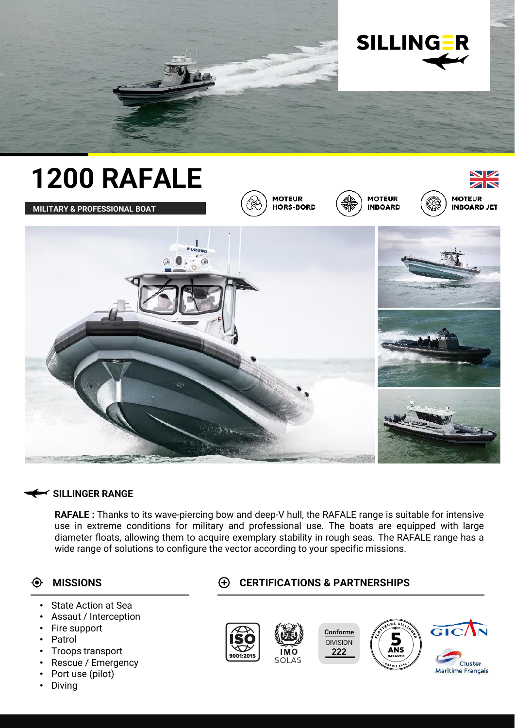



### **SILLINGER RANGE**

**RAFALE :** Thanks to its wave-piercing bow and deep-V hull, the RAFALE range is suitable for intensive use in extreme conditions for military and professional use. The boats are equipped with large diameter floats, allowing them to acquire exemplary stability in rough seas. The RAFALE range has a wide range of solutions to configure the vector according to your specific missions.

### $\bullet$

- State Action at Sea
- Assaut / Interception
- Fire support
- **Patrol**
- Troops transport
- Rescue / Emergency
- Port use (pilot)
- Diving

# **MISSIONS CERTIFICATIONS & PARTNERSHIPS**